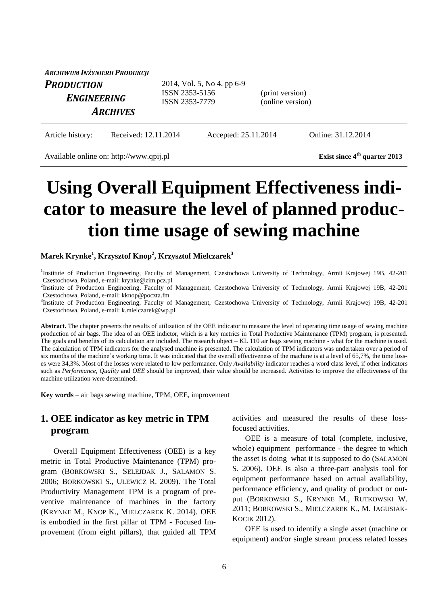| ARCHIWUM INŻYNIERII PRODUKCJI    |                                                                |                                     |  |
|----------------------------------|----------------------------------------------------------------|-------------------------------------|--|
| <b>PRODUCTION</b><br>ENGINEERING | 2014, Vol. 5, No 4, pp 6-9<br>ISSN 2353-5156<br>ISSN 2353-7779 | (print version)<br>(online version) |  |
| <b>ARCHIVES</b>                  |                                                                |                                     |  |

Article history: Received: 12.11.2014 Accepted: 25.11.2014 Online: 31.12.2014

Available online on: http://www.qpij.pl **Exist since 4<sup>th</sup>** quarter 2013

# **Using Overall Equipment Effectiveness indicator to measure the level of planned production time usage of sewing machine**

#### **Marek Krynke<sup>1</sup> , Krzysztof Knop<sup>2</sup> , Krzysztof Mielczarek<sup>3</sup>**

<sup>1</sup>Institute of Production Engineering, Faculty of Management, Czestochowa University of Technology, Armii Krajowej 19B, 42-201 Czestochowa, Poland, e-mail: krynke@zim.pcz.pl

2 Institute of Production Engineering, Faculty of Management, Czestochowa University of Technology, Armii Krajowej 19B, 42-201 Czestochowa, Poland, e-mail: kknop@poczta.fm

3 Institute of Production Engineering, Faculty of Management, Czestochowa University of Technology, Armii Krajowej 19B, 42-201 Czestochowa, Poland, e-mail: k.mielczarek@wp.pl

Abstract. The chapter presents the results of utilization of the OEE indicator to measure the level of operating time usage of sewing machine production of air bags. The idea of an OEE indictor, which is a key metrics in Total Productive Maintenance (TPM) program, is presented. The goals and benefits of its calculation are included. The research object – KL 110 air bags sewing machine - what for the machine is used. The calculation of TPM indicators for the analysed machine is presented. The calculation of TPM indicators was undertaken over a period of six months of the machine's working time. It was indicated that the overall effectiveness of the machine is at a level of 65,7%, the time losses were 34,3%. Most of the losses were related to low performance. Only *Availability* indicator reaches a word class level, if other indicators such as *Performance*, *Quality* and *OEE* should be improved, their value should be increased. Activities to improve the effectiveness of the machine utilization were determined.

**Key words** – air bags sewing machine, TPM, OEE, improvement

### **1. OEE indicator as key metric in TPM program**

Overall Equipment Effectiveness (OEE) is a key metric in Total Productive Maintenance (TPM) program (BORKOWSKI S., SELEJDAK J., SALAMON S. 2006; BORKOWSKI S., ULEWICZ R. 2009). The Total Productivity Management TPM is a program of preventive maintenance of machines in the factory (KRYNKE M., KNOP K., MIELCZAREK K. 2014). OEE is embodied in the first pillar of TPM - Focused Improvement (from eight pillars), that guided all TPM activities and measured the results of these lossfocused activities.

OEE is a measure of total (complete, inclusive, whole) equipment performance - the degree to which the asset is doing what it is supposed to do (SALAMON S. 2006). OEE is also a three-part analysis tool for equipment performance based on actual availability, performance efficiency, and quality of product or output (BORKOWSKI S., KRYNKE M., RUTKOWSKI W. 2011; BORKOWSKI S., MIELCZAREK K., M. JAGUSIAK-KOCIK 2012).

OEE is used to identify a single asset (machine or equipment) and/or single stream process related losses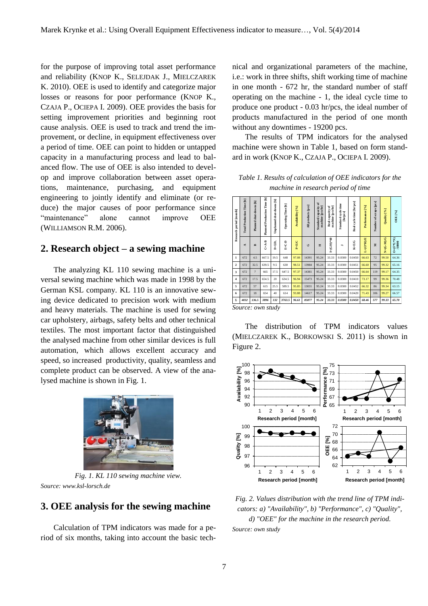for the purpose of improving total asset performance and reliability (KNOP K., SELEJDAK J., MIELCZAREK K. 2010). OEE is used to identify and categorize major losses or reasons for poor performance (KNOP K., CZAJA P., OCIEPA I. 2009). OEE provides the basis for setting improvement priorities and beginning root cause analysis. OEE is used to track and trend the improvement, or decline, in equipment effectiveness over a period of time. OEE can point to hidden or untapped capacity in a manufacturing process and lead to balanced flow. The use of OEE is also intended to develop and improve collaboration between asset operations, maintenance, purchasing, and equipment engineering to jointly identify and eliminate (or reduce) the major causes of poor performance since "maintenance" alone cannot improve OEE (WILLIAMSON R.M. 2006).

## **2. Research object – a sewing machine**

The analyzing KL 110 sewing machine is a universal sewing machine which was made in 1998 by the German KSL company. KL 110 is an innovative sewing device dedicated to precision work with medium and heavy materials. The machine is used for sewing car upholstery, airbags, safety belts and other technical textiles. The most important factor that distinguished the analysed machine from other similar devices is full automation, which allows excellent accuracy and speed, so increased productivity, quality, seamless and complete product can be observed. A view of the analysed machine is shown in Fig. 1.



*Fig. 1. KL 110 sewing machine view. Source: www.ksl-lorsch.de*

#### **3. OEE analysis for the sewing machine**

Calculation of TPM indicators was made for a period of six months, taking into account the basic technical and organizational parameters of the machine, i.e.: work in three shifts, shift working time of machine in one month - 672 hr, the standard number of staff operating on the machine - 1, the ideal cycle time to produce one product - 0.03 hr/pcs, the ideal number of products manufactured in the period of one month without any downtimes - 19200 pcs.

The results of TPM indicators for the analysed machine were shown in Table 1, based on form standard in work (KNOP K., CZAJA P., OCIEPA I. 2009).

*Table 1. Results of calculation of OEE indicators for the machine in research period of time*

| Research period [month] | <b>Total Production Time [h]</b> | Planned shut-downs [h] | <b>Planned Production Time [h]</b> | Unplanned shut-downs [h] | Operating Time [h] | Availability [%] | All products [pcs] | Standard capacity of<br>machine [pcs/hr] | machine [pcs/hr]<br>៵<br>Real capacity | Standard cycle time<br>[hr/pcs] | Real cycle time [hr/pcs] | Performance <sup>[%]</sup> | Number of scraps [pcs] | Quality [%] | $OEE$ [%]                               |
|-------------------------|----------------------------------|------------------------|------------------------------------|--------------------------|--------------------|------------------|--------------------|------------------------------------------|----------------------------------------|---------------------------------|--------------------------|----------------------------|------------------------|-------------|-----------------------------------------|
|                         | $\prec$                          | $\mathbf{r}$           | $C-A-B$                            | $D = 2D_1$               | E-C-D              | <b>DIEEE</b>     | Ü                  | Ξ                                        | $I = (G/H)^{n} 60$                     | ∽                               | $K = E/G$                | L=(G*H)/E                  | Σ                      | $N=(G-M)/G$ | $O = (F^{\alpha}L^{\alpha}N)$<br>/10000 |
| $\mathbf{1}$            | 672                              | 4.5                    | 667.5                              | 19.5                     | 648                | 97.08            | 14391              | 95.24                                    | 33.33                                  | 0.0300                          | 0.0450                   | 66.63                      | 72                     | 99.50       | 64.36                                   |
| $\mathbf{2}$            | 672                              | 32.5                   | 639.5                              | 9.5                      | 630                | 98.51            | 13984              | 95.24                                    | 33.33                                  | 0.0300                          | 0.0451                   | 66.60                      | 95                     | 99.32       | 65.16                                   |
| 3                       | 672                              | $\overline{7}$         | 665                                | 17.5                     | 647.5              | 97.37            | 14381              | 95.24                                    | 33.33                                  | 0.0300                          | 0.0450                   | 66.64                      | 119                    | 99.17       | 64.35                                   |
| $\overline{4}$          | 672                              | 17.5                   | 654.5                              | 20                       | 634.5              | 96.94            | 15473              | 95.24                                    | 33.33                                  | 0.0300                          | 0.0410                   | 73.17                      | 99                     | 99.36       | 70.48                                   |
| 5                       | 672                              | 57                     | 615                                | 25.5                     | 589.5              | 95.85            | 13031              | 95.24                                    | 33.33                                  | 0.0300                          | 0.0452                   | 66.32                      | 86                     | 99.34       | 63.15                                   |
| 6                       | 672                              | 18                     | 654                                | 40                       | 614                | 93.88            | 14617              | 95.24                                    | 33.33                                  | 0.0300                          | 0.0420                   | 71.43                      | 106                    | 99.27       | 66.57                                   |
| Σ                       | 4032                             | 136.5                  | 3896                               | 132                      | 3763.5             | 96.61            | 85877              | 95.24                                    | 33.33                                  | 0.0300                          | 0.0450                   | 68.46                      | 577                    | 99.33       | 65.70                                   |

*Source: own study*

The distribution of TPM indicators values (MIELCZAREK K., BORKOWSKI S. 2011) is shown in Figure 2.



*Fig. 2. Values distribution with the trend line of TPM indicators: a) "Availability", b) "Performance", c) "Quality", d) "OEE" for the machine in the research period. Source: own study*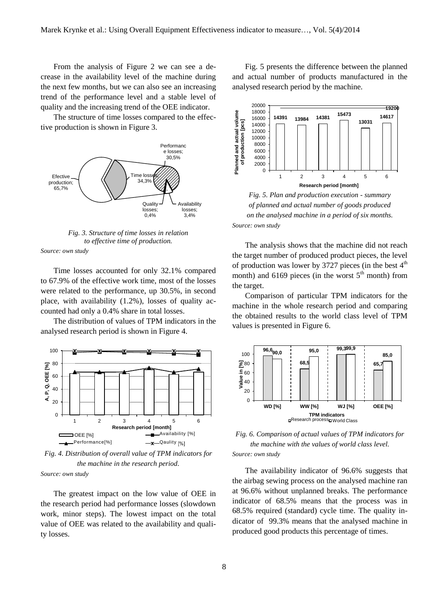From the analysis of Figure 2 we can see a decrease in the availability level of the machine during the next few months, but we can also see an increasing trend of the performance level and a stable level of quality and the increasing trend of the OEE indicator.

The structure of time losses compared to the effective production is shown in Figure 3.



*Fig. 3. Structure of time losses in relation to effective time of production. Source: own study*

Time losses accounted for only 32.1% compared to 67.9% of the effective work time, most of the losses were related to the performance, up 30.5%, in second place, with availability (1.2%), losses of quality accounted had only a 0.4% share in total losses.

The distribution of values of TPM indicators in the analysed research period is shown in Figure 4.



*Fig. 4. Distribution of overall value of TPM indicators for the machine in the research period.*

*Source: own study*

The greatest impact on the low value of OEE in the research period had performance losses (slowdown work, minor steps). The lowest impact on the total value of OEE was related to the availability and quality losses.

Fig. 5 presents the difference between the planned and actual number of products manufactured in the analysed research period by the machine.



*Fig. 5. Plan and production execution - summary of planned and actual number of goods produced on the analysed machine in a period of six months. Source: own study*

The analysis shows that the machine did not reach the target number of produced product pieces, the level of production was lower by 3727 pieces (in the best  $4<sup>th</sup>$ month) and 6169 pieces (in the worst  $5<sup>th</sup>$  month) from the target.

Comparison of particular TPM indicators for the machine in the whole research period and comparing the obtained results to the world class level of TPM values is presented in Figure 6.



*Fig. 6. Comparison of actual values of TPM indicators for the machine with the values of world class level. Source: own study*

The availability indicator of 96.6% suggests that the airbag sewing process on the analysed machine ran at 96.6% without unplanned breaks. The performance indicator of 68.5% means that the process was in 68.5% required (standard) cycle time. The quality indicator of 99.3% means that the analysed machine in produced good products this percentage of times.